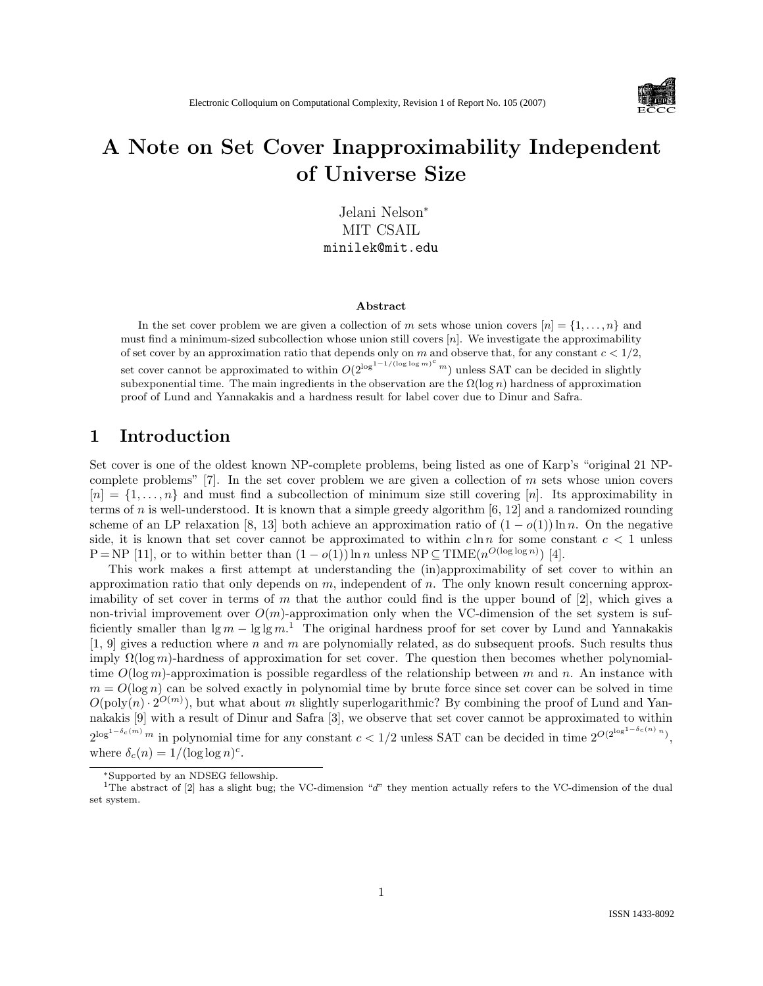

# A Note on Set Cover Inapproximability Independent of Universe Size

Jelani Nelson<sup>∗</sup> MIT CSAIL minilek@mit.edu

#### Abstract

In the set cover problem we are given a collection of m sets whose union covers  $[n] = \{1, \ldots, n\}$  and must find a minimum-sized subcollection whose union still covers  $[n]$ . We investigate the approximability of set cover by an approximation ratio that depends only on m and observe that, for any constant  $c < 1/2$ , set cover cannot be approximated to within  $O(2^{\log^{1-1/(\log \log m)^c} m})$  unless SAT can be decided in slightly subexponential time. The main ingredients in the observation are the  $\Omega(\log n)$  hardness of approximation proof of Lund and Yannakakis and a hardness result for label cover due to Dinur and Safra.

#### 1 Introduction

Set cover is one of the oldest known NP-complete problems, being listed as one of Karp's "original 21 NPcomplete problems"  $[7]$ . In the set cover problem we are given a collection of m sets whose union covers  $[n] = \{1, \ldots, n\}$  and must find a subcollection of minimum size still covering [n]. Its approximability in terms of n is well-understood. It is known that a simple greedy algorithm  $[6, 12]$  and a randomized rounding scheme of an LP relaxation [8, 13] both achieve an approximation ratio of  $(1 - o(1)) \ln n$ . On the negative side, it is known that set cover cannot be approximated to within  $c \ln n$  for some constant  $c < 1$  unless  $P = NP$  [11], or to within better than  $(1 - o(1)) \ln n$  unless  $NP \subseteq TIME(n^{O(\log \log n)})$  [4].

This work makes a first attempt at understanding the (in)approximability of set cover to within an approximation ratio that only depends on  $m$ , independent of  $n$ . The only known result concerning approximability of set cover in terms of m that the author could find is the upper bound of  $[2]$ , which gives a non-trivial improvement over  $O(m)$ -approximation only when the VC-dimension of the set system is sufficiently smaller than  $\lg m - \lg \lg m$ .<sup>1</sup> The original hardness proof for set cover by Lund and Yannakakis  $[1, 9]$  gives a reduction where n and m are polynomially related, as do subsequent proofs. Such results thus imply  $\Omega(\log m)$ -hardness of approximation for set cover. The question then becomes whether polynomialtime  $O(\log m)$ -approximation is possible regardless of the relationship between m and n. An instance with  $m = O(\log n)$  can be solved exactly in polynomial time by brute force since set cover can be solved in time  $O(poly(n) \cdot 2^{O(m)})$ , but what about m slightly superlogarithmic? By combining the proof of Lund and Yannakakis [9] with a result of Dinur and Safra [3], we observe that set cover cannot be approximated to within  $2^{\log^{1-\delta_c(m)} m}$  in polynomial time for any constant  $c < 1/2$  unless SAT can be decided in time  $2^{O(2^{\log^{1-\delta_c(n)} n})}$ , where  $\delta_c(n) = 1/(\log \log n)^c$ .

<sup>∗</sup>Supported by an NDSEG fellowship.

<sup>&</sup>lt;sup>1</sup>The abstract of [2] has a slight bug; the VC-dimension "d" they mention actually refers to the VC-dimension of the dual set system.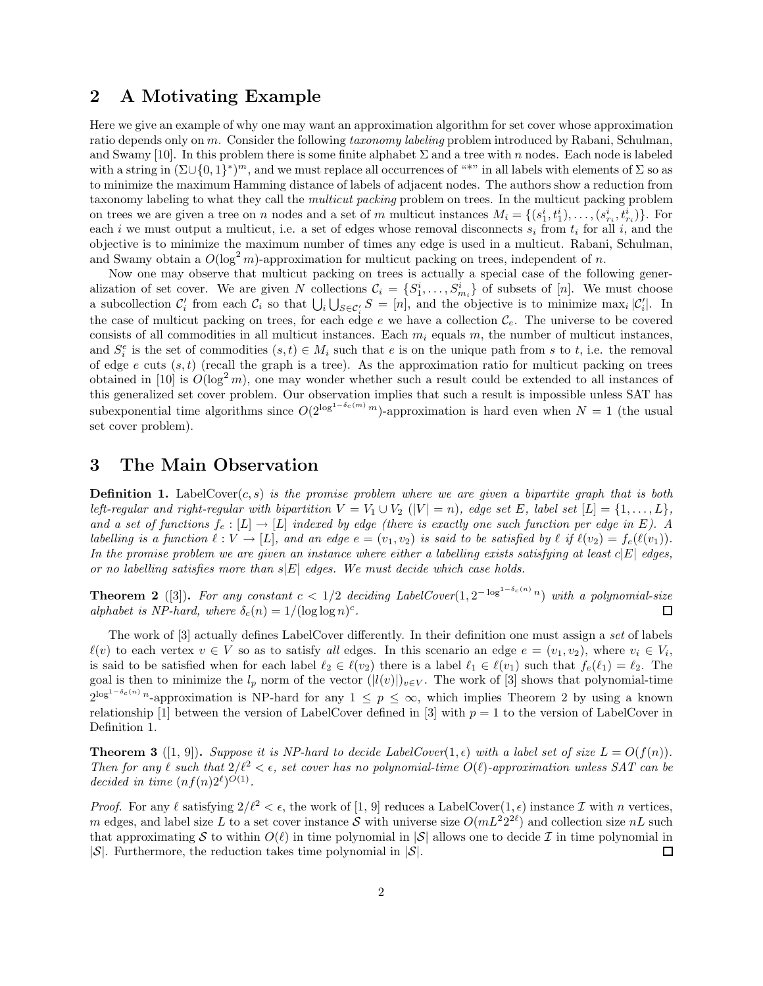### 2 A Motivating Example

Here we give an example of why one may want an approximation algorithm for set cover whose approximation ratio depends only on m. Consider the following taxonomy labeling problem introduced by Rabani, Schulman, and Swamy [10]. In this problem there is some finite alphabet  $\Sigma$  and a tree with n nodes. Each node is labeled with a string in  $(\Sigma \cup \{0,1\}^*)^m$ , and we must replace all occurrences of "\*" in all labels with elements of  $\Sigma$  so as to minimize the maximum Hamming distance of labels of adjacent nodes. The authors show a reduction from taxonomy labeling to what they call the multicut packing problem on trees. In the multicut packing problem on trees we are given a tree on n nodes and a set of m multicut instances  $M_i = \{(s_1^i, t_1^i), \ldots, (s_{r_i}^i, t_{r_i}^i)\}\.$  For each i we must output a multicut, i.e. a set of edges whose removal disconnects  $s_i$  from  $t_i$  for all i, and the objective is to minimize the maximum number of times any edge is used in a multicut. Rabani, Schulman, and Swamy obtain a  $O(\log^2 m)$ -approximation for multicut packing on trees, independent of n.

Now one may observe that multicut packing on trees is actually a special case of the following generalization of set cover. We are given N collections  $C_i = \{S_1^i, \ldots, S_{m_i}^i\}$  of subsets of [n]. We must choose a subcollection  $C_i$  from each  $C_i$  so that  $\bigcup_i \bigcup_{S \in C_i} S = [n]$ , and the objective is to minimize max<sub>i</sub>  $|C_i|$ . In the case of multicut packing on trees, for each edge e we have a collection  $\mathcal{C}_e$ . The universe to be covered consists of all commodities in all multicut instances. Each  $m_i$  equals m, the number of multicut instances, and  $S_i^e$  is the set of commodities  $(s,t) \in M_i$  such that e is on the unique path from s to t, i.e. the removal of edge e cuts  $(s, t)$  (recall the graph is a tree). As the approximation ratio for multicut packing on trees obtained in [10] is  $O(\log^2 m)$ , one may wonder whether such a result could be extended to all instances of this generalized set cover problem. Our observation implies that such a result is impossible unless SAT has subexponential time algorithms since  $O(2^{\log^{1-\delta_c(m)} m})$ -approximation is hard even when  $N = 1$  (the usual set cover problem).

#### 3 The Main Observation

**Definition 1.** LabelCover(c, s) is the promise problem where we are given a bipartite graph that is both left-regular and right-regular with bipartition  $V = V_1 \cup V_2$  ( $|V| = n$ ), edge set E, label set  $[L] = \{1, \ldots, L\}$ , and a set of functions  $f_e : [L] \to [L]$  indexed by edge (there is exactly one such function per edge in E). A labelling is a function  $\ell : V \to [L]$ , and an edge  $e = (v_1, v_2)$  is said to be satisfied by  $\ell$  if  $\ell(v_2) = f_e(\ell(v_1)).$ In the promise problem we are given an instance where either a labelling exists satisfying at least  $c|E|$  edges, or no labelling satisfies more than  $s|E|$  edges. We must decide which case holds.

**Theorem 2** ([3]). For any constant  $c < 1/2$  deciding LabelCover $(1, 2^{-\log^{1-\delta_c(n)}n})$  with a polynomial-size alphabet is NP-hard, where  $\delta_c(n) = 1/(\log \log n)^c$ . □

The work of [3] actually defines LabelCover differently. In their definition one must assign a set of labels  $\ell(v)$  to each vertex  $v \in V$  so as to satisfy all edges. In this scenario an edge  $e = (v_1, v_2)$ , where  $v_i \in V_i$ , is said to be satisfied when for each label  $\ell_2 \in \ell(v_2)$  there is a label  $\ell_1 \in \ell(v_1)$  such that  $f_e(\ell_1) = \ell_2$ . The goal is then to minimize the  $l_p$  norm of the vector  $(|l(v)|)_{v\in V}$ . The work of [3] shows that polynomial-time  $2^{\log^{1-\delta_c(n)} n}$ -approximation is NP-hard for any  $1 \leq p \leq \infty$ , which implies Theorem 2 by using a known relationship [1] between the version of LabelCover defined in [3] with  $p = 1$  to the version of LabelCover in Definition 1.

**Theorem 3** ([1, 9]). Suppose it is NP-hard to decide LabelCover(1,  $\epsilon$ ) with a label set of size  $L = O(f(n))$ . Then for any  $\ell$  such that  $2/\ell^2 < \epsilon$ , set cover has no polynomial-time  $O(\ell)$ -approximation unless SAT can be decided in time  $(nf(n)2^{\ell})^{O(1)}$ .

*Proof.* For any  $\ell$  satisfying  $2/\ell^2 < \epsilon$ , the work of [1, 9] reduces a LabelCover(1, $\epsilon$ ) instance  $\mathcal I$  with n vertices, m edges, and label size L to a set cover instance S with universe size  $O(mL^2 2^{2\ell})$  and collection size  $nL$  such that approximating S to within  $O(\ell)$  in time polynomial in  $|S|$  allows one to decide I in time polynomial in  $|S|$ .  $|\mathcal{S}|$ . Furthermore, the reduction takes time polynomial in  $|\mathcal{S}|$ .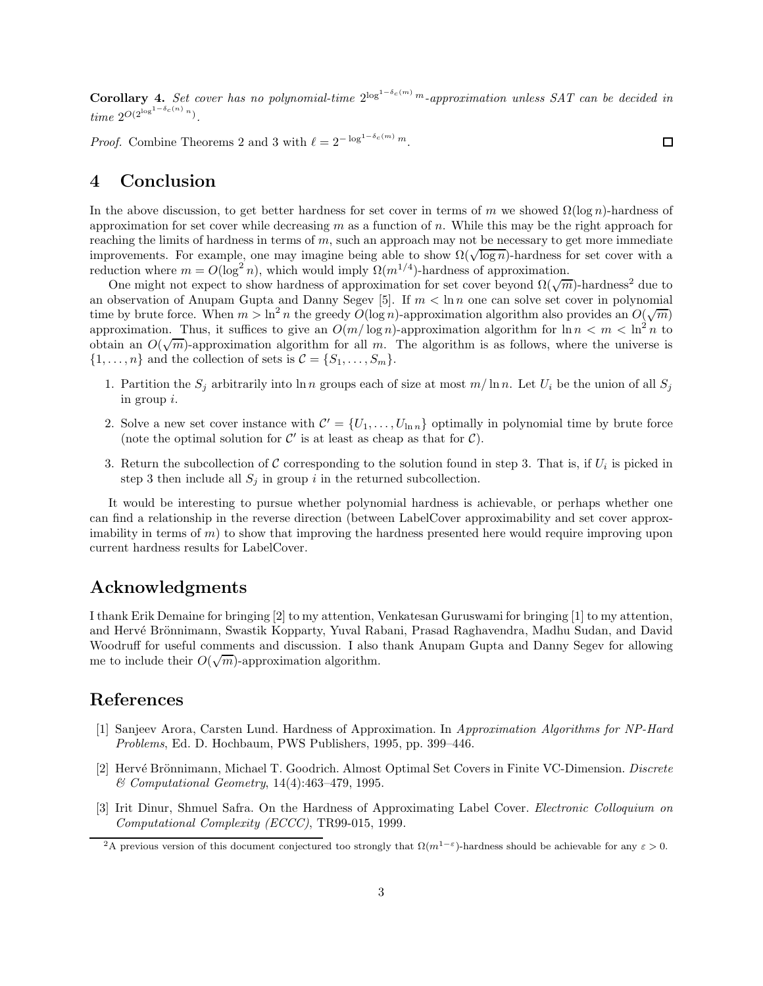**Corollary 4.** Set cover has no polynomial-time  $2^{\log^{1-\delta_c(m)} m}$ -approximation unless SAT can be decided in time  $2^{O(2^{\log^{1-\delta_c(n)} n})}$ .

*Proof.* Combine Theorems 2 and 3 with  $\ell = 2^{-\log^{1-\delta_c(m)} m}$ .  $\Box$ 

### 4 Conclusion

In the above discussion, to get better hardness for set cover in terms of m we showed  $\Omega(\log n)$ -hardness of approximation for set cover while decreasing m as a function of n. While this may be the right approach for reaching the limits of hardness in terms of  $m$ , such an approach may not be necessary to get more immediate improvements. For example, one may imagine being able to show  $\Omega(\sqrt{\log n})$ -hardness for set cover with a reduction where  $m = O(\log^2 n)$ , which would imply  $\Omega(m^{1/4})$ -hardness of approximation.

One might not expect to show hardness of approximation for set cover beyond  $\Omega(\sqrt{m})$ -hardness<sup>2</sup> due to an observation of Anupam Gupta and Danny Segev [5]. If  $m < \ln n$  one can solve set cover in polynomial time by brute force. When  $m > \ln^2 n$  the greedy  $O(\log n)$ -approximation algorithm also provides an  $O(\sqrt{m})$ approximation. Thus, it suffices to give an  $O(m/\log n)$ -approximation algorithm for  $\ln n < m < \ln^2 n$  to obtain an  $O(\sqrt{m})$ -approximation algorithm for all m. The algorithm is as follows, where the universe is  $\{1,\ldots,n\}$  and the collection of sets is  $\mathcal{C} = \{S_1,\ldots,S_m\}.$ 

- 1. Partition the  $S_j$  arbitrarily into ln n groups each of size at most  $m/\ln n$ . Let  $U_i$  be the union of all  $S_j$ in group i.
- 2. Solve a new set cover instance with  $\mathcal{C}' = \{U_1, \ldots, U_{\ln n}\}\$  optimally in polynomial time by brute force (note the optimal solution for  $\mathcal{C}'$  is at least as cheap as that for  $\mathcal{C}).$
- 3. Return the subcollection of  $C$  corresponding to the solution found in step 3. That is, if  $U_i$  is picked in step 3 then include all  $S_j$  in group i in the returned subcollection.

It would be interesting to pursue whether polynomial hardness is achievable, or perhaps whether one can find a relationship in the reverse direction (between LabelCover approximability and set cover approximability in terms of  $m$ ) to show that improving the hardness presented here would require improving upon current hardness results for LabelCover.

# Acknowledgments

I thank Erik Demaine for bringing [2] to my attention, Venkatesan Guruswami for bringing [1] to my attention, and Hervé Brönnimann, Swastik Kopparty, Yuval Rabani, Prasad Raghavendra, Madhu Sudan, and David Woodruff for useful comments and discussion. I also thank Anupam Gupta and Danny Segev for allowing me to include their  $O(\sqrt{m})$ -approximation algorithm.

## References

- [1] Sanjeev Arora, Carsten Lund. Hardness of Approximation. In Approximation Algorithms for NP-Hard Problems, Ed. D. Hochbaum, PWS Publishers, 1995, pp. 399–446.
- [2] Hervé Brönnimann, Michael T. Goodrich. Almost Optimal Set Covers in Finite VC-Dimension. Discrete & Computational Geometry, 14(4):463–479, 1995.
- [3] Irit Dinur, Shmuel Safra. On the Hardness of Approximating Label Cover. Electronic Colloquium on Computational Complexity (ECCC), TR99-015, 1999.

<sup>&</sup>lt;sup>2</sup>A previous version of this document conjectured too strongly that  $\Omega(m^{1-\varepsilon})$ -hardness should be achievable for any  $\varepsilon > 0$ .